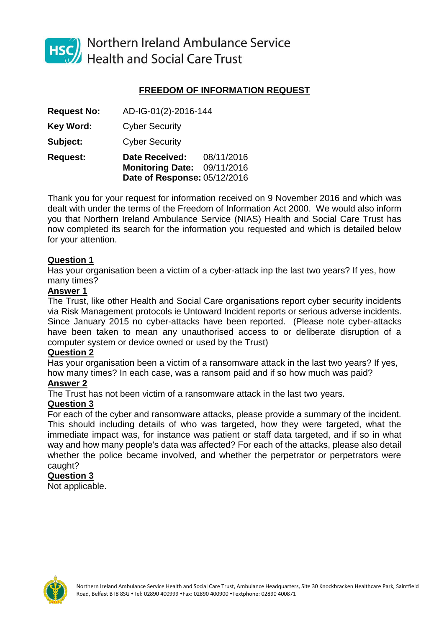

HSC Northern Ireland Ambulance Service<br>Health and Social Care Trust

# **FREEDOM OF INFORMATION REQUEST**

|                    | Date of Response: 05/12/2016 |            |
|--------------------|------------------------------|------------|
|                    | <b>Monitoring Date:</b>      | 09/11/2016 |
| <b>Request:</b>    | <b>Date Received:</b>        | 08/11/2016 |
| Subject:           | <b>Cyber Security</b>        |            |
| Key Word:          | <b>Cyber Security</b>        |            |
| <b>Request No:</b> | AD-IG-01(2)-2016-144         |            |

Thank you for your request for information received on 9 November 2016 and which was dealt with under the terms of the Freedom of Information Act 2000. We would also inform you that Northern Ireland Ambulance Service (NIAS) Health and Social Care Trust has now completed its search for the information you requested and which is detailed below for your attention.

## **Question 1**

Has your organisation been a victim of a cyber-attack inp the last two years? If yes, how many times?

## **Answer 1**

The Trust, like other Health and Social Care organisations report cyber security incidents via Risk Management protocols ie Untoward Incident reports or serious adverse incidents. Since January 2015 no cyber-attacks have been reported. (Please note cyber-attacks have been taken to mean any unauthorised access to or deliberate disruption of a computer system or device owned or used by the Trust)

#### **Question 2**

Has your organisation been a victim of a ransomware attack in the last two years? If yes, how many times? In each case, was a ransom paid and if so how much was paid?

#### **Answer 2**

The Trust has not been victim of a ransomware attack in the last two years.

#### **Question 3**

For each of the cyber and ransomware attacks, please provide a summary of the incident. This should including details of who was targeted, how they were targeted, what the immediate impact was, for instance was patient or staff data targeted, and if so in what way and how many people's data was affected? For each of the attacks, please also detail whether the police became involved, and whether the perpetrator or perpetrators were caught?

## **Question 3**

Not applicable.